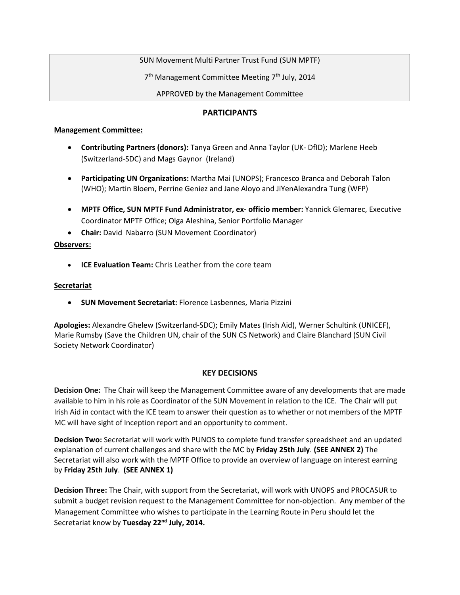SUN Movement Multi Partner Trust Fund (SUN MPTF)

7<sup>th</sup> Management Committee Meeting 7<sup>th</sup> July, 2014

APPROVED by the Management Committee

#### **PARTICIPANTS**

#### **Management Committee:**

- **Contributing Partners (donors):** Tanya Green and Anna Taylor (UK- DfID); Marlene Heeb (Switzerland-SDC) and Mags Gaynor (Ireland)
- **Participating UN Organizations:** Martha Mai (UNOPS); Francesco Branca and Deborah Talon (WHO); Martin Bloem, Perrine Geniez and Jane Aloyo and JiYenAlexandra Tung (WFP)
- **MPTF Office, SUN MPTF Fund Administrator, ex- officio member:** Yannick Glemarec, Executive Coordinator MPTF Office; Olga Aleshina, Senior Portfolio Manager
- **Chair:** David Nabarro (SUN Movement Coordinator)

### **Observers:**

**ICE Evaluation Team:** Chris Leather from the core team

#### **Secretariat**

**SUN Movement Secretariat:** Florence Lasbennes, Maria Pizzini

**Apologies:** Alexandre Ghelew (Switzerland-SDC); Emily Mates (Irish Aid), Werner Schultink (UNICEF), Marie Rumsby (Save the Children UN, chair of the SUN CS Network) and Claire Blanchard (SUN Civil Society Network Coordinator)

### **KEY DECISIONS**

**Decision One:** The Chair will keep the Management Committee aware of any developments that are made available to him in his role as Coordinator of the SUN Movement in relation to the ICE. The Chair will put Irish Aid in contact with the ICE team to answer their question as to whether or not members of the MPTF MC will have sight of Inception report and an opportunity to comment.

**Decision Two:** Secretariat will work with PUNOS to complete fund transfer spreadsheet and an updated explanation of current challenges and share with the MC by **Friday 25th July**. **(SEE ANNEX 2)** The Secretariat will also work with the MPTF Office to provide an overview of language on interest earning by **Friday 25th July**. **(SEE ANNEX 1)**

**Decision Three:** The Chair, with support from the Secretariat, will work with UNOPS and PROCASUR to submit a budget revision request to the Management Committee for non-objection. Any member of the Management Committee who wishes to participate in the Learning Route in Peru should let the Secretariat know by **Tuesday 22nd July, 2014.**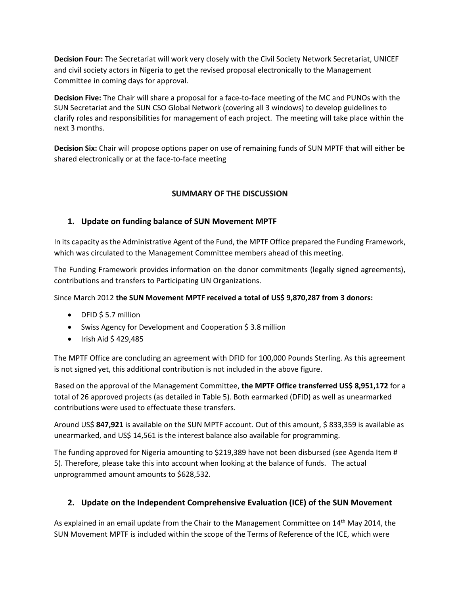**Decision Four:** The Secretariat will work very closely with the Civil Society Network Secretariat, UNICEF and civil society actors in Nigeria to get the revised proposal electronically to the Management Committee in coming days for approval.

**Decision Five:** The Chair will share a proposal for a face-to-face meeting of the MC and PUNOs with the SUN Secretariat and the SUN CSO Global Network (covering all 3 windows) to develop guidelines to clarify roles and responsibilities for management of each project. The meeting will take place within the next 3 months.

**Decision Six:** Chair will propose options paper on use of remaining funds of SUN MPTF that will either be shared electronically or at the face-to-face meeting

# **SUMMARY OF THE DISCUSSION**

## **1. Update on funding balance of SUN Movement MPTF**

In its capacity as the Administrative Agent of the Fund, the MPTF Office prepared the Funding Framework, which was circulated to the Management Committee members ahead of this meeting.

The Funding Framework provides information on the donor commitments (legally signed agreements), contributions and transfers to Participating UN Organizations.

Since March 2012 **the SUN Movement MPTF received a total of US\$ 9,870,287 from 3 donors:**

- DFID \$5.7 million
- Swiss Agency for Development and Cooperation \$ 3.8 million
- $\bullet$  Irish Aid \$ 429,485

The MPTF Office are concluding an agreement with DFID for 100,000 Pounds Sterling. As this agreement is not signed yet, this additional contribution is not included in the above figure.

Based on the approval of the Management Committee, **the MPTF Office transferred US\$ 8,951,172** for a total of 26 approved projects (as detailed in Table 5). Both earmarked (DFID) as well as unearmarked contributions were used to effectuate these transfers.

Around US\$ **847,921** is available on the SUN MPTF account. Out of this amount, \$ 833,359 is available as unearmarked, and US\$ 14,561 is the interest balance also available for programming.

The funding approved for Nigeria amounting to \$219,389 have not been disbursed (see Agenda Item # 5). Therefore, please take this into account when looking at the balance of funds. The actual unprogrammed amount amounts to \$628,532.

### **2. Update on the Independent Comprehensive Evaluation (ICE) of the SUN Movement**

As explained in an email update from the Chair to the Management Committee on 14<sup>th</sup> May 2014, the SUN Movement MPTF is included within the scope of the Terms of Reference of the ICE, which were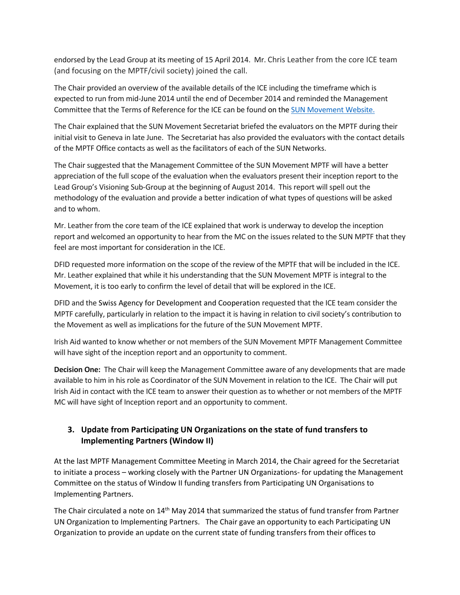endorsed by the Lead Group at its meeting of 15 April 2014. Mr. Chris Leather from the core ICE team (and focusing on the MPTF/civil society) joined the call.

The Chair provided an overview of the available details of the ICE including the timeframe which is expected to run from mid-June 2014 until the end of December 2014 and reminded the Management Committee that the Terms of Reference for the ICE can be found on the **SUN [Movement](http://scalingupnutrition.org/news/independent-comprehensive-evaluation#.U7q2KfmSwsY) Website.** 

The Chair explained that the SUN Movement Secretariat briefed the evaluators on the MPTF during their initial visit to Geneva in late June. The Secretariat has also provided the evaluators with the contact details of the MPTF Office contacts as well as the facilitators of each of the SUN Networks.

The Chair suggested that the Management Committee of the SUN Movement MPTF will have a better appreciation of the full scope of the evaluation when the evaluators present their inception report to the Lead Group's Visioning Sub-Group at the beginning of August 2014. This report will spell out the methodology of the evaluation and provide a better indication of what types of questions will be asked and to whom.

Mr. Leather from the core team of the ICE explained that work is underway to develop the inception report and welcomed an opportunity to hear from the MC on the issues related to the SUN MPTF that they feel are most important for consideration in the ICE.

DFID requested more information on the scope of the review of the MPTF that will be included in the ICE. Mr. Leather explained that while it his understanding that the SUN Movement MPTF is integral to the Movement, it is too early to confirm the level of detail that will be explored in the ICE.

DFID and the Swiss Agency for Development and Cooperation requested that the ICE team consider the MPTF carefully, particularly in relation to the impact it is having in relation to civil society's contribution to the Movement as well as implications for the future of the SUN Movement MPTF.

Irish Aid wanted to know whether or not members of the SUN Movement MPTF Management Committee will have sight of the inception report and an opportunity to comment.

**Decision One:** The Chair will keep the Management Committee aware of any developments that are made available to him in his role as Coordinator of the SUN Movement in relation to the ICE. The Chair will put Irish Aid in contact with the ICE team to answer their question as to whether or not members of the MPTF MC will have sight of Inception report and an opportunity to comment.

# **3. Update from Participating UN Organizations on the state of fund transfers to Implementing Partners (Window II)**

At the last MPTF Management Committee Meeting in March 2014, the Chair agreed for the Secretariat to initiate a process – working closely with the Partner UN Organizations- for updating the Management Committee on the status of Window II funding transfers from Participating UN Organisations to Implementing Partners.

The Chair circulated a note on  $14<sup>th</sup>$  May 2014 that summarized the status of fund transfer from Partner UN Organization to Implementing Partners. The Chair gave an opportunity to each Participating UN Organization to provide an update on the current state of funding transfers from their offices to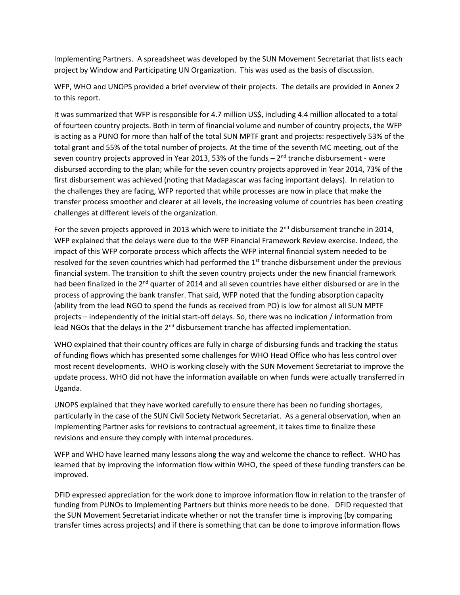Implementing Partners. A spreadsheet was developed by the SUN Movement Secretariat that lists each project by Window and Participating UN Organization. This was used as the basis of discussion.

WFP, WHO and UNOPS provided a brief overview of their projects. The details are provided in Annex 2 to this report.

It was summarized that WFP is responsible for 4.7 million US\$, including 4.4 million allocated to a total of fourteen country projects. Both in term of financial volume and number of country projects, the WFP is acting as a PUNO for more than half of the total SUN MPTF grant and projects: respectively 53% of the total grant and 55% of the total number of projects. At the time of the seventh MC meeting, out of the seven country projects approved in Year 2013, 53% of the funds – 2<sup>nd</sup> tranche disbursement - were disbursed according to the plan; while for the seven country projects approved in Year 2014, 73% of the first disbursement was achieved (noting that Madagascar was facing important delays). In relation to the challenges they are facing, WFP reported that while processes are now in place that make the transfer process smoother and clearer at all levels, the increasing volume of countries has been creating challenges at different levels of the organization.

For the seven projects approved in 2013 which were to initiate the  $2^{nd}$  disbursement tranche in 2014, WFP explained that the delays were due to the WFP Financial Framework Review exercise. Indeed, the impact of this WFP corporate process which affects the WFP internal financial system needed to be resolved for the seven countries which had performed the 1<sup>st</sup> tranche disbursement under the previous financial system. The transition to shift the seven country projects under the new financial framework had been finalized in the  $2<sup>nd</sup>$  quarter of 2014 and all seven countries have either disbursed or are in the process of approving the bank transfer. That said, WFP noted that the funding absorption capacity (ability from the lead NGO to spend the funds as received from PO) is low for almost all SUN MPTF projects – independently of the initial start-off delays. So, there was no indication / information from lead NGOs that the delays in the  $2<sup>nd</sup>$  disbursement tranche has affected implementation.

WHO explained that their country offices are fully in charge of disbursing funds and tracking the status of funding flows which has presented some challenges for WHO Head Office who has less control over most recent developments. WHO is working closely with the SUN Movement Secretariat to improve the update process. WHO did not have the information available on when funds were actually transferred in Uganda.

UNOPS explained that they have worked carefully to ensure there has been no funding shortages, particularly in the case of the SUN Civil Society Network Secretariat. As a general observation, when an Implementing Partner asks for revisions to contractual agreement, it takes time to finalize these revisions and ensure they comply with internal procedures.

WFP and WHO have learned many lessons along the way and welcome the chance to reflect. WHO has learned that by improving the information flow within WHO, the speed of these funding transfers can be improved.

DFID expressed appreciation for the work done to improve information flow in relation to the transfer of funding from PUNOs to Implementing Partners but thinks more needs to be done. DFID requested that the SUN Movement Secretariat indicate whether or not the transfer time is improving (by comparing transfer times across projects) and if there is something that can be done to improve information flows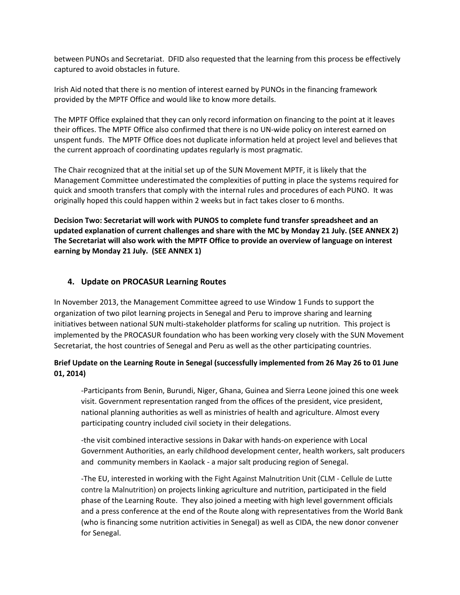between PUNOs and Secretariat. DFID also requested that the learning from this process be effectively captured to avoid obstacles in future.

Irish Aid noted that there is no mention of interest earned by PUNOs in the financing framework provided by the MPTF Office and would like to know more details.

The MPTF Office explained that they can only record information on financing to the point at it leaves their offices. The MPTF Office also confirmed that there is no UN-wide policy on interest earned on unspent funds. The MPTF Office does not duplicate information held at project level and believes that the current approach of coordinating updates regularly is most pragmatic.

The Chair recognized that at the initial set up of the SUN Movement MPTF, it is likely that the Management Committee underestimated the complexities of putting in place the systems required for quick and smooth transfers that comply with the internal rules and procedures of each PUNO. It was originally hoped this could happen within 2 weeks but in fact takes closer to 6 months.

**Decision Two: Secretariat will work with PUNOS to complete fund transfer spreadsheet and an updated explanation of current challenges and share with the MC by Monday 21 July. (SEE ANNEX 2) The Secretariat will also work with the MPTF Office to provide an overview of language on interest earning by Monday 21 July. (SEE ANNEX 1)**

#### **4. Update on PROCASUR Learning Routes**

In November 2013, the Management Committee agreed to use Window 1 Funds to support the organization of two pilot learning projects in Senegal and Peru to improve sharing and learning initiatives between national SUN multi-stakeholder platforms for scaling up nutrition. This project is implemented by the PROCASUR foundation who has been working very closely with the SUN Movement Secretariat, the host countries of Senegal and Peru as well as the other participating countries.

### **Brief Update on the Learning Route in Senegal (successfully implemented from 26 May 26 to 01 June 01, 2014)**

-Participants from Benin, Burundi, Niger, Ghana, Guinea and Sierra Leone joined this one week visit. Government representation ranged from the offices of the president, vice president, national planning authorities as well as ministries of health and agriculture. Almost every participating country included civil society in their delegations.

-the visit combined interactive sessions in Dakar with hands-on experience with Local Government Authorities, an early childhood development center, health workers, salt producers and community members in Kaolack - a major salt producing region of Senegal.

-The EU, interested in working with the Fight Against Malnutrition Unit (CLM - Cellule de Lutte contre la Malnutrition) on projects linking agriculture and nutrition, participated in the field phase of the Learning Route. They also joined a meeting with high level government officials and a press conference at the end of the Route along with representatives from the World Bank (who is financing some nutrition activities in Senegal) as well as CIDA, the new donor convener for Senegal.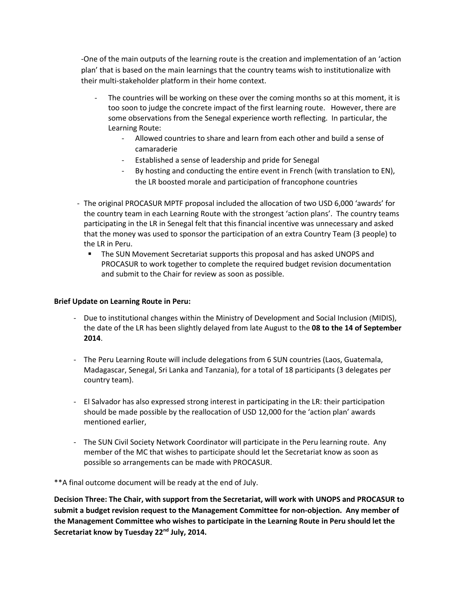-One of the main outputs of the learning route is the creation and implementation of an 'action plan' that is based on the main learnings that the country teams wish to institutionalize with their multi-stakeholder platform in their home context.

- The countries will be working on these over the coming months so at this moment, it is too soon to judge the concrete impact of the first learning route. However, there are some observations from the Senegal experience worth reflecting. In particular, the Learning Route:
	- Allowed countries to share and learn from each other and build a sense of camaraderie
	- Established a sense of leadership and pride for Senegal
	- By hosting and conducting the entire event in French (with translation to EN), the LR boosted morale and participation of francophone countries
- The original PROCASUR MPTF proposal included the allocation of two USD 6,000 'awards' for the country team in each Learning Route with the strongest 'action plans'. The country teams participating in the LR in Senegal felt that this financial incentive was unnecessary and asked that the money was used to sponsor the participation of an extra Country Team (3 people) to the LR in Peru.
	- The SUN Movement Secretariat supports this proposal and has asked UNOPS and PROCASUR to work together to complete the required budget revision documentation and submit to the Chair for review as soon as possible.

#### **Brief Update on Learning Route in Peru:**

- Due to institutional changes within the Ministry of Development and Social Inclusion (MIDIS), the date of the LR has been slightly delayed from late August to the **08 to the 14 of September 2014**.
- The Peru Learning Route will include delegations from 6 SUN countries (Laos, Guatemala, Madagascar, Senegal, Sri Lanka and Tanzania), for a total of 18 participants (3 delegates per country team).
- El Salvador has also expressed strong interest in participating in the LR: their participation should be made possible by the reallocation of USD 12,000 for the 'action plan' awards mentioned earlier,
- The SUN Civil Society Network Coordinator will participate in the Peru learning route. Any member of the MC that wishes to participate should let the Secretariat know as soon as possible so arrangements can be made with PROCASUR.

\*\*A final outcome document will be ready at the end of July.

**Decision Three: The Chair, with support from the Secretariat, will work with UNOPS and PROCASUR to submit a budget revision request to the Management Committee for non-objection. Any member of the Management Committee who wishes to participate in the Learning Route in Peru should let the Secretariat know by Tuesday 22nd July, 2014.**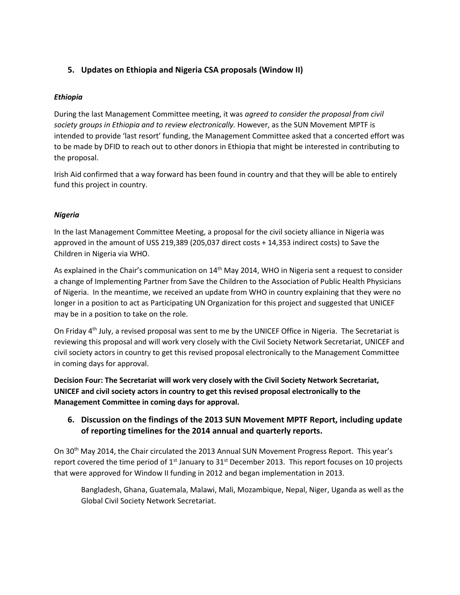# **5. Updates on Ethiopia and Nigeria CSA proposals (Window II)**

## *Ethiopia*

During the last Management Committee meeting, it was *agreed to consider the proposal from civil society groups in Ethiopia and to review electronically.* However, as the SUN Movement MPTF is intended to provide 'last resort' funding, the Management Committee asked that a concerted effort was to be made by DFID to reach out to other donors in Ethiopia that might be interested in contributing to the proposal.

Irish Aid confirmed that a way forward has been found in country and that they will be able to entirely fund this project in country.

## *Nigeria*

In the last Management Committee Meeting, a proposal for the civil society alliance in Nigeria was approved in the amount of USS 219,389 (205,037 direct costs + 14,353 indirect costs) to Save the Children in Nigeria via WHO.

As explained in the Chair's communication on 14<sup>th</sup> May 2014, WHO in Nigeria sent a request to consider a change of Implementing Partner from Save the Children to the Association of Public Health Physicians of Nigeria. In the meantime, we received an update from WHO in country explaining that they were no longer in a position to act as Participating UN Organization for this project and suggested that UNICEF may be in a position to take on the role.

On Friday 4<sup>th</sup> July, a revised proposal was sent to me by the UNICEF Office in Nigeria. The Secretariat is reviewing this proposal and will work very closely with the Civil Society Network Secretariat, UNICEF and civil society actors in country to get this revised proposal electronically to the Management Committee in coming days for approval.

**Decision Four: The Secretariat will work very closely with the Civil Society Network Secretariat, UNICEF and civil society actors in country to get this revised proposal electronically to the Management Committee in coming days for approval.**

# **6. Discussion on the findings of the 2013 SUN Movement MPTF Report, including update of reporting timelines for the 2014 annual and quarterly reports.**

On 30<sup>th</sup> May 2014, the Chair circulated the 2013 Annual SUN Movement Progress Report. This year's report covered the time period of  $1<sup>st</sup>$  January to  $31<sup>st</sup>$  December 2013. This report focuses on 10 projects that were approved for Window II funding in 2012 and began implementation in 2013.

Bangladesh, Ghana, Guatemala, Malawi, Mali, Mozambique, Nepal, Niger, Uganda as well as the Global Civil Society Network Secretariat.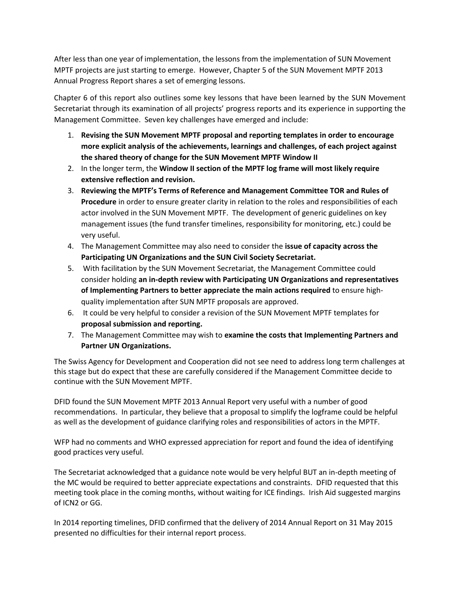After less than one year of implementation, the lessons from the implementation of SUN Movement MPTF projects are just starting to emerge. However, Chapter 5 of the SUN Movement MPTF 2013 Annual Progress Report shares a set of emerging lessons.

Chapter 6 of this report also outlines some key lessons that have been learned by the SUN Movement Secretariat through its examination of all projects' progress reports and its experience in supporting the Management Committee. Seven key challenges have emerged and include:

- 1. **Revising the SUN Movement MPTF proposal and reporting templates in order to encourage more explicit analysis of the achievements, learnings and challenges, of each project against the shared theory of change for the SUN Movement MPTF Window II**
- 2. In the longer term, the **Window II section of the MPTF log frame will most likely require extensive reflection and revision.**
- 3. **Reviewing the MPTF's Terms of Reference and Management Committee TOR and Rules of Procedure** in order to ensure greater clarity in relation to the roles and responsibilities of each actor involved in the SUN Movement MPTF. The development of generic guidelines on key management issues (the fund transfer timelines, responsibility for monitoring, etc.) could be very useful.
- 4. The Management Committee may also need to consider the **issue of capacity across the Participating UN Organizations and the SUN Civil Society Secretariat.**
- 5. With facilitation by the SUN Movement Secretariat, the Management Committee could consider holding **an in-depth review with Participating UN Organizations and representatives of Implementing Partners to better appreciate the main actions required** to ensure highquality implementation after SUN MPTF proposals are approved.
- 6. It could be very helpful to consider a revision of the SUN Movement MPTF templates for **proposal submission and reporting.**
- 7. The Management Committee may wish to **examine the costs that Implementing Partners and Partner UN Organizations.**

The Swiss Agency for Development and Cooperation did not see need to address long term challenges at this stage but do expect that these are carefully considered if the Management Committee decide to continue with the SUN Movement MPTF.

DFID found the SUN Movement MPTF 2013 Annual Report very useful with a number of good recommendations. In particular, they believe that a proposal to simplify the logframe could be helpful as well as the development of guidance clarifying roles and responsibilities of actors in the MPTF.

WFP had no comments and WHO expressed appreciation for report and found the idea of identifying good practices very useful.

The Secretariat acknowledged that a guidance note would be very helpful BUT an in-depth meeting of the MC would be required to better appreciate expectations and constraints. DFID requested that this meeting took place in the coming months, without waiting for ICE findings. Irish Aid suggested margins of ICN2 or GG.

In 2014 reporting timelines, DFID confirmed that the delivery of 2014 Annual Report on 31 May 2015 presented no difficulties for their internal report process.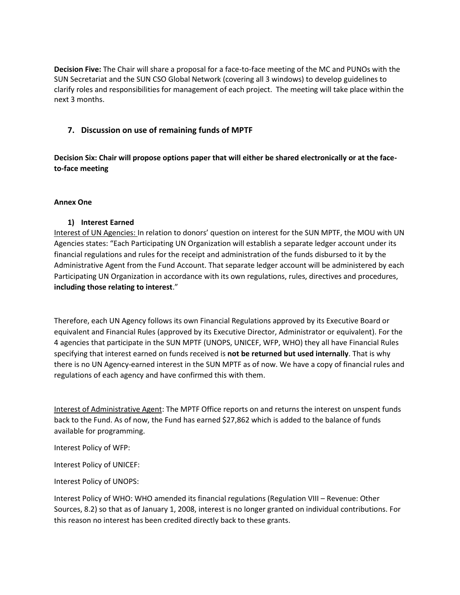**Decision Five:** The Chair will share a proposal for a face-to-face meeting of the MC and PUNOs with the SUN Secretariat and the SUN CSO Global Network (covering all 3 windows) to develop guidelines to clarify roles and responsibilities for management of each project. The meeting will take place within the next 3 months.

## **7. Discussion on use of remaining funds of MPTF**

**Decision Six: Chair will propose options paper that will either be shared electronically or at the faceto-face meeting**

#### **Annex One**

#### **1) Interest Earned**

Interest of UN Agencies: In relation to donors' question on interest for the SUN MPTF, the MOU with UN Agencies states: "Each Participating UN Organization will establish a separate ledger account under its financial regulations and rules for the receipt and administration of the funds disbursed to it by the Administrative Agent from the Fund Account. That separate ledger account will be administered by each Participating UN Organization in accordance with its own regulations, rules, directives and procedures, **including those relating to interest**."

Therefore, each UN Agency follows its own Financial Regulations approved by its Executive Board or equivalent and Financial Rules (approved by its Executive Director, Administrator or equivalent). For the 4 agencies that participate in the SUN MPTF (UNOPS, UNICEF, WFP, WHO) they all have Financial Rules specifying that interest earned on funds received is **not be returned but used internally**. That is why there is no UN Agency-earned interest in the SUN MPTF as of now. We have a copy of financial rules and regulations of each agency and have confirmed this with them.

Interest of Administrative Agent: The MPTF Office reports on and returns the interest on unspent funds back to the Fund. As of now, the Fund has earned \$27,862 which is added to the balance of funds available for programming.

Interest Policy of WFP:

Interest Policy of UNICEF:

Interest Policy of UNOPS:

Interest Policy of WHO: WHO amended its financial regulations (Regulation VIII – Revenue: Other Sources, 8.2) so that as of January 1, 2008, interest is no longer granted on individual contributions. For this reason no interest has been credited directly back to these grants.